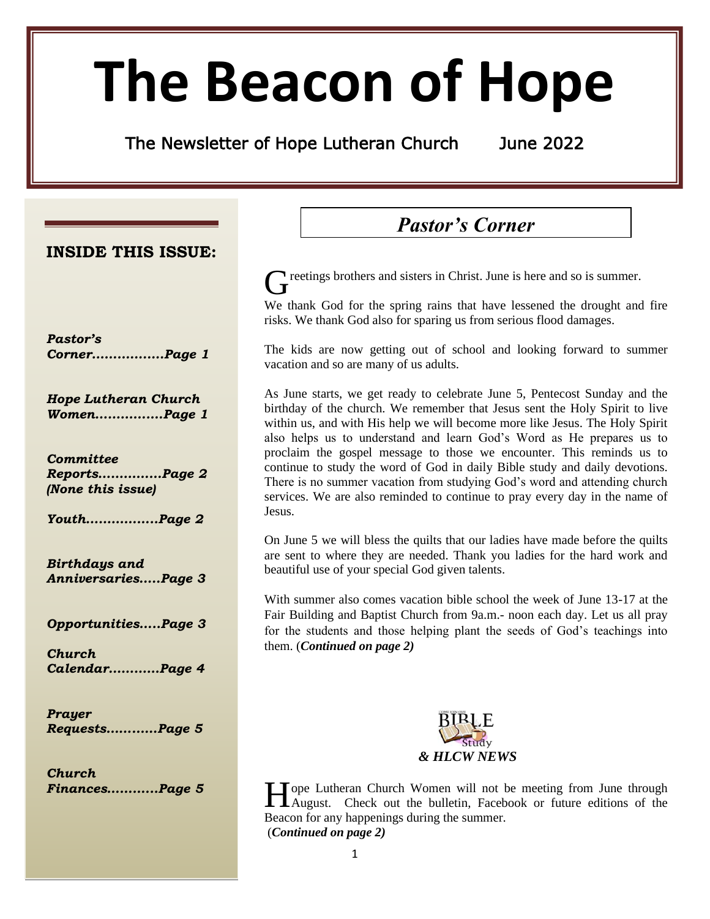# **The Beacon of Hope**

The Newsletter of Hope Lutheran Church June 2022

**INSIDE THIS ISSUE:**

*Pastor's Corner………….….Page 1*

*Hope Lutheran Church Women………….…Page 1*

*Committee Reports……………Page 2 (None this issue)*

*Youth……………..Page 2*

*Birthdays and Anniversaries…..Page 3*

*Opportunities…..Page 3*

*Church Calendar…………Page 4*

*Prayer Requests……...…Page 5*

*Church Finances………...Page 5*

## *Pastor's Corner*

reetings brothers and sisters in Christ. June is here and so is summer. G

We thank God for the spring rains that have lessened the drought and fire risks. We thank God also for sparing us from serious flood damages.

The kids are now getting out of school and looking forward to summer vacation and so are many of us adults.

As June starts, we get ready to celebrate June 5, Pentecost Sunday and the birthday of the church. We remember that Jesus sent the Holy Spirit to live within us, and with His help we will become more like Jesus. The Holy Spirit also helps us to understand and learn God's Word as He prepares us to proclaim the gospel message to those we encounter. This reminds us to continue to study the word of God in daily Bible study and daily devotions. There is no summer vacation from studying God's word and attending church services. We are also reminded to continue to pray every day in the name of Jesus.

On June 5 we will bless the quilts that our ladies have made before the quilts are sent to where they are needed. Thank you ladies for the hard work and beautiful use of your special God given talents.

With summer also comes vacation bible school the week of June 13-17 at the Fair Building and Baptist Church from 9a.m.- noon each day. Let us all pray for the students and those helping plant the seeds of God's teachings into them. (*Continued on page 2)*



ope Lutheran Church Women will not be meeting from June through Hope Lutheran Church Women will not be meeting from June through August. Check out the bulletin, Facebook or future editions of the Beacon for any happenings during the summer. (*Continued on page 2)*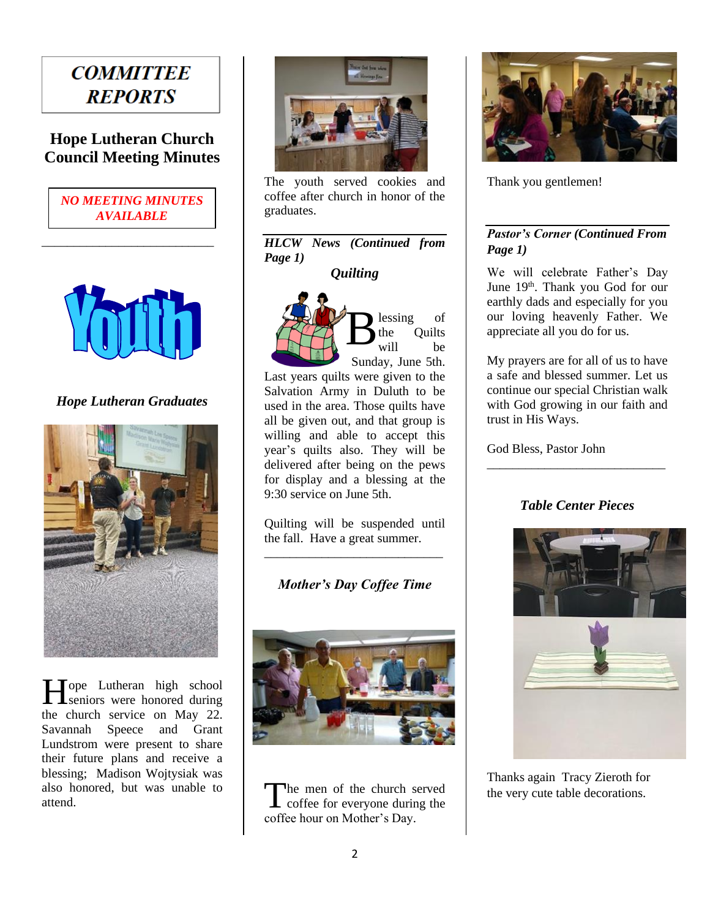## **COMMITTEE REPORTS**

### **Hope Lutheran Church Council Meeting Minutes**



\_\_\_\_\_\_\_\_\_\_\_\_\_\_\_\_\_\_\_\_\_\_\_\_\_\_\_



*Hope Lutheran Graduates*



Tope Lutheran high school Hope Lutheran high school<br>seniors were honored during the church service on May 22. Savannah Speece and Grant Lundstrom were present to share their future plans and receive a blessing; Madison Wojtysiak was also honored, but was unable to attend.



The youth served cookies and coffee after church in honor of the graduates.

#### *HLCW News (Continued from Page 1)*

*Quilting* 



lessing of the Quilts will be Sunday, June 5th.

Last years quilts were given to the Salvation Army in Duluth to be used in the area. Those quilts have all be given out, and that group is willing and able to accept this year's quilts also. They will be delivered after being on the pews for display and a blessing at the 9:30 service on June 5th.

Quilting will be suspended until the fall. Have a great summer. \_\_\_\_\_\_\_\_\_\_\_\_\_\_\_\_\_\_\_\_\_\_\_\_\_\_\_\_

*Mother's Day Coffee Time*



he men of the church served The men of the church served<br>coffee for everyone during the coffee hour on Mother's Day.



Thank you gentlemen!

#### *Pastor's Corner (Continued From Page 1)*

We will celebrate Father's Day June 19<sup>th</sup>. Thank you God for our earthly dads and especially for you our loving heavenly Father. We appreciate all you do for us.

My prayers are for all of us to have a safe and blessed summer. Let us continue our special Christian walk with God growing in our faith and trust in His Ways.

God Bless, Pastor John

#### *Table Center Pieces*

\_\_\_\_\_\_\_\_\_\_\_\_\_\_\_\_\_\_\_\_\_\_\_\_\_\_\_\_



Thanks again Tracy Zieroth for the very cute table decorations.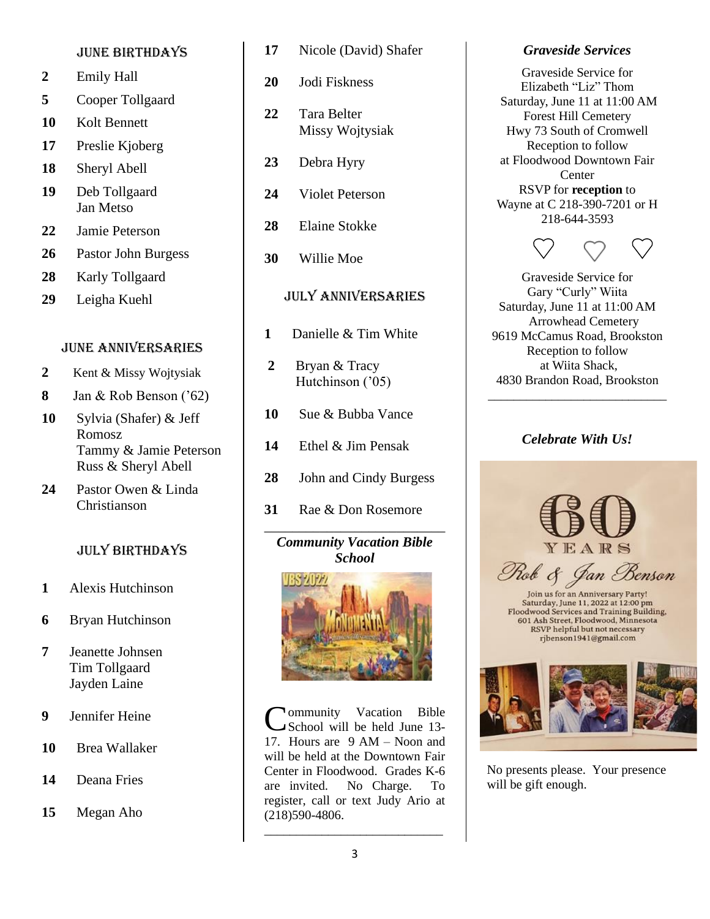#### June birthdays

- **2** Emily Hall
- **5** Cooper Tollgaard
- **10** Kolt Bennett
- **17** Preslie Kjoberg
- **18** Sheryl Abell
- **19** Deb Tollgaard Jan Metso
- **22** Jamie Peterson
- **26** Pastor John Burgess
- **28** Karly Tollgaard
- **29** Leigha Kuehl

#### June anniversaries

- **2** Kent & Missy Wojtysiak
- **8** Jan & Rob Benson ('62)
- **10** Sylvia (Shafer) & Jeff Romosz Tammy & Jamie Peterson Russ & Sheryl Abell
- **24** Pastor Owen & Linda Christianson

#### July birthdays

- **1** Alexis Hutchinson
- **6** Bryan Hutchinson
- **7** Jeanette Johnsen Tim Tollgaard Jayden Laine
- **9** Jennifer Heine
- **10** Brea Wallaker
- **14** Deana Fries

#### **15** Megan Aho

- **17** Nicole (David) Shafer
- **20** Jodi Fiskness
- **22** Tara Belter Missy Wojtysiak
- **23** Debra Hyry
- **24** Violet Peterson
- **28** Elaine Stokke
- **30** Willie Moe

#### July anniversaries

- **1** Danielle & Tim White
- **2** Bryan & Tracy Hutchinson ('05)
- **10** Sue & Bubba Vance
- **14** Ethel & Jim Pensak
- **28** John and Cindy Burgess
- **31** Rae & Don Rosemore

#### *Community Vacation Bible School*

\_\_\_\_\_\_\_\_\_\_\_\_\_\_\_\_\_\_\_\_\_\_\_\_\_\_



**Mommunity Vacation Bible** School will be held June 13- 17. Hours are 9 AM – Noon and will be held at the Downtown Fair Center in Floodwood. Grades K-6 are invited. No Charge. To register, call or text Judy Ario at (218)590-4806. C

#### *Graveside Services*

Graveside Service for Elizabeth "Liz" Thom Saturday, June 11 at 11:00 AM Forest Hill Cemetery Hwy 73 South of Cromwell Reception to follow at Floodwood Downtown Fair **Center** RSVP for **reception** to Wayne at C 218-390-7201 or H 218-644-3593



Graveside Service for Gary "Curly" Wiita Saturday, June 11 at 11:00 AM Arrowhead Cemetery 9619 McCamus Road, Brookston Reception to follow at Wiita Shack, 4830 Brandon Road, Brookston

#### *Celebrate With Us!*

\_\_\_\_\_\_\_\_\_\_\_\_\_\_\_\_\_\_\_\_\_\_\_\_\_\_\_\_

YEARS

Rob & Jan Benson Saturday, June 11, 2022 at 12:00 pm

Floodwood Services and Training Building,<br>601 Ash Street, Floodwood, Minnesota<br>RSVP helpful but not necessary ribenson1941@gmail.com



No presents please. Your presence will be gift enough.

\_\_\_\_\_\_\_\_\_\_\_\_\_\_\_\_\_\_\_\_\_\_\_\_\_\_\_\_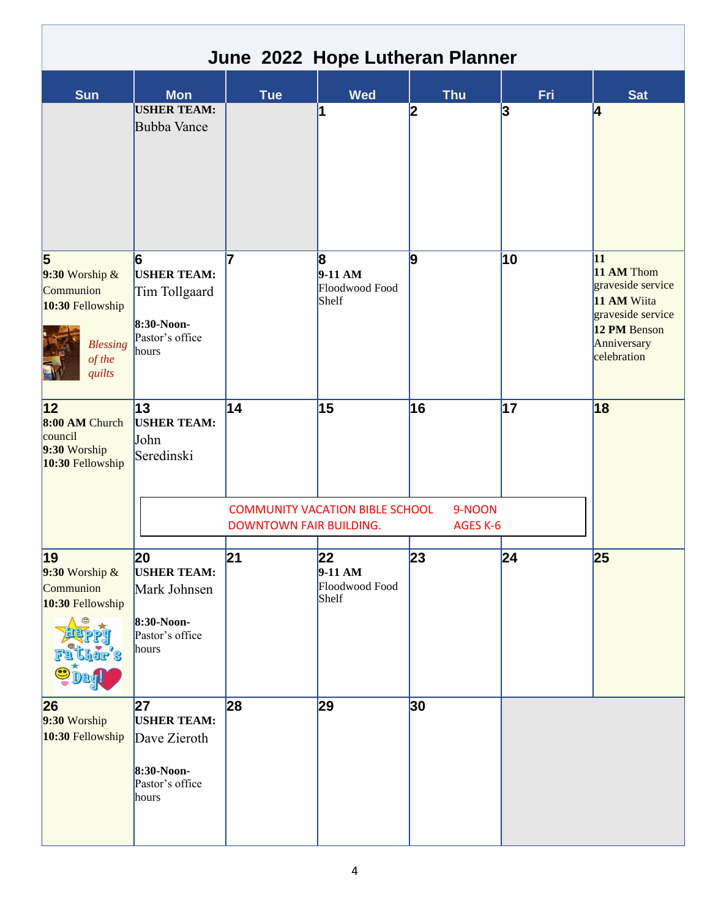|                                                                                                                     |                                                                                    |                               |                                              | June 2022 Hope Lutheran Planner |     |                                                                                                                         |
|---------------------------------------------------------------------------------------------------------------------|------------------------------------------------------------------------------------|-------------------------------|----------------------------------------------|---------------------------------|-----|-------------------------------------------------------------------------------------------------------------------------|
| <b>Sun</b>                                                                                                          | <b>Mon</b>                                                                         | <b>Tue</b>                    | <b>Wed</b>                                   | <b>Thu</b>                      | Fri | <b>Sat</b>                                                                                                              |
|                                                                                                                     | <b>USHER TEAM:</b><br><b>Bubba Vance</b>                                           |                               | 1                                            | 2                               | 3   | 4                                                                                                                       |
| $\overline{\mathbf{5}}$<br>$9:30$ Worship &<br>Communion<br>10:30 Fellowship<br><b>Blessing</b><br>of the<br>quilts | 6<br><b>USHER TEAM:</b><br>Tim Tollgaard<br>8:30-Noon-<br>Pastor's office<br>hours | 7                             | 8<br>$9-11$ AM<br>Floodwood Food<br>Shelf    | 9                               | 10  | 11<br>11 AM Thom<br>graveside service<br>11 AM Wiita<br>graveside service<br>12 PM Benson<br>Anniversary<br>celebration |
| 12 <br>8:00 AM Church<br>council<br>9:30 Worship<br>10:30 Fellowship                                                | 13<br><b>USHER TEAM:</b><br>John<br>Seredinski                                     | 14<br>DOWNTOWN FAIR BUILDING. | 15<br><b>COMMUNITY VACATION BIBLE SCHOOL</b> | 16<br>9-NOON<br>AGES K-6        | 17  | 18                                                                                                                      |
| 19<br>$9:30$ Worship &<br>Communion<br>10:30 Fellowship<br>her's<br>$\bullet$                                       | 20<br><b>USHER TEAM:</b><br>Mark Johnsen<br>8:30-Noon-<br>Pastor's office<br>hours | 21                            | 22<br>$9-11 AM$<br>Floodwood Food<br>Shelf   | 23                              | 24  | 25                                                                                                                      |
| 26<br>9:30 Worship<br>10:30 Fellowship                                                                              | 27<br><b>USHER TEAM:</b><br>Dave Zieroth<br>8:30-Noon-<br>Pastor's office<br>hours | 28                            | 29                                           | 30                              |     |                                                                                                                         |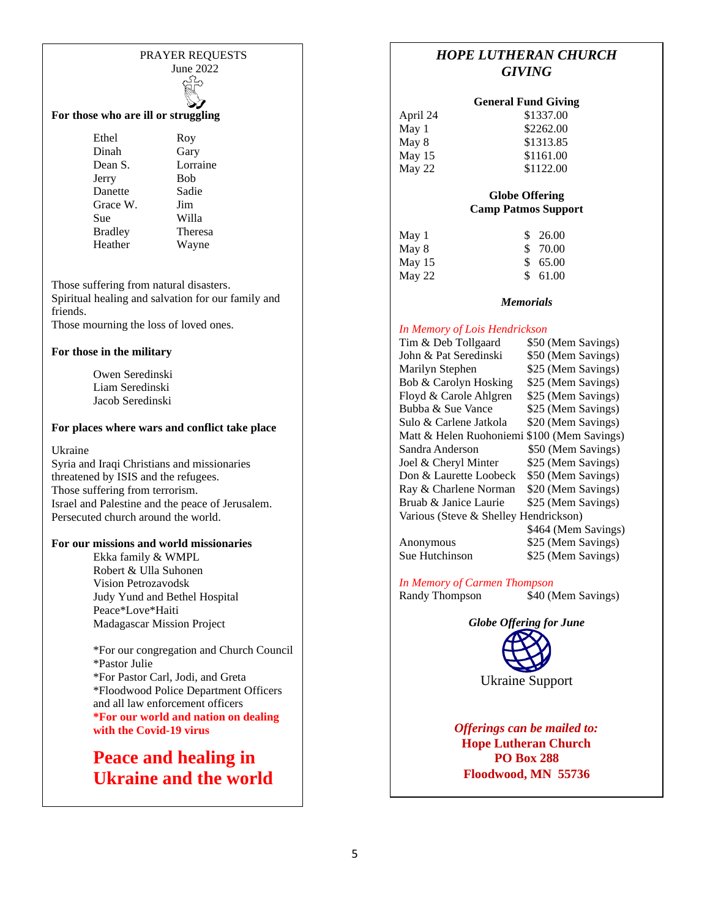#### PRAYER REQUESTS June 2022

#### **For those who are ill or struggling**

Ethel Roy Dinah Gary Dean S. Lorraine Jerry Bob Danette Sadie Grace W. Jim Sue Willa Bradley Theresa Heather Wayne

Those suffering from natural disasters. Spiritual healing and salvation for our family and friends. Those mourning the loss of loved ones.

#### **For those in the military**

Owen Seredinski Liam Seredinski Jacob Seredinski

#### **For places where wars and conflict take place**

Ukraine

Syria and Iraqi Christians and missionaries threatened by ISIS and the refugees. Those suffering from terrorism. Israel and Palestine and the peace of Jerusalem. Persecuted church around the world.

#### **For our missions and world missionaries**

Ekka family & WMPL Robert & Ulla Suhonen Vision Petrozavodsk Judy Yund and Bethel Hospital Peace\*Love\*Haiti Madagascar Mission Project

\*For our congregation and Church Council \*Pastor Julie \*For Pastor Carl, Jodi, and Greta \*Floodwood Police Department Officers and all law enforcement officers **\*For our world and nation on dealing with the Covid-19 virus**

**Peace and healing in Ukraine and the world**

#### *HOPE LUTHERAN CHURCH GIVING*

| <b>General Fund Giving</b> |  |  |
|----------------------------|--|--|
|----------------------------|--|--|

| April 24 | \$1337.00 |
|----------|-----------|
| May 1    | \$2262.00 |
| May 8    | \$1313.85 |
| May $15$ | \$1161.00 |
| May 22   | \$1122.00 |

#### **Globe Offering Camp Patmos Support**

| May 1    | \$26.00  |
|----------|----------|
| May 8    | \$ 70.00 |
| May $15$ | \$65.00  |
| May 22   | \$61.00  |

#### *Memorials*

#### *In Memory of Lois Hendrickson*

| Tim & Deb Tollgaard                   | \$50 (Mem Savings)                         |
|---------------------------------------|--------------------------------------------|
| John & Pat Seredinski                 | \$50 (Mem Savings)                         |
| Marilyn Stephen                       | \$25 (Mem Savings)                         |
| Bob & Carolyn Hosking                 | \$25 (Mem Savings)                         |
| Floyd & Carole Ahlgren                | \$25 (Mem Savings)                         |
| Bubba & Sue Vance                     | \$25 (Mem Savings)                         |
| Sulo & Carlene Jatkola                | \$20 (Mem Savings)                         |
| Matt & Helen Ruohoniemi               | \$100 (Mem Savings)                        |
| Sandra Anderson                       | \$50 (Mem Savings)                         |
| Joel & Cheryl Minter                  | \$25 (Mem Savings)                         |
| Don & Laurette Loobeck                | \$50 (Mem Savings)                         |
| Ray & Charlene Norman                 | \$20 (Mem Savings)                         |
| Bruab & Janice Laurie                 | \$25 (Mem Savings)                         |
| Various (Steve & Shelley Hendrickson) |                                            |
|                                       | $0.474$ $(M_{\text{max}}$ $N_{\text{max}}$ |

\$464 (Mem Savings) Anonymous \$25 (Mem Savings) Sue Hutchinson \$25 (Mem Savings)

*In Memory of Carmen Thompson*

Randy Thompson \$40 (Mem Savings)

*Globe Offering for June*



Ukraine Support

*Offerings can be mailed to:* **Hope Lutheran Church PO Box 288 Floodwood, MN 55736**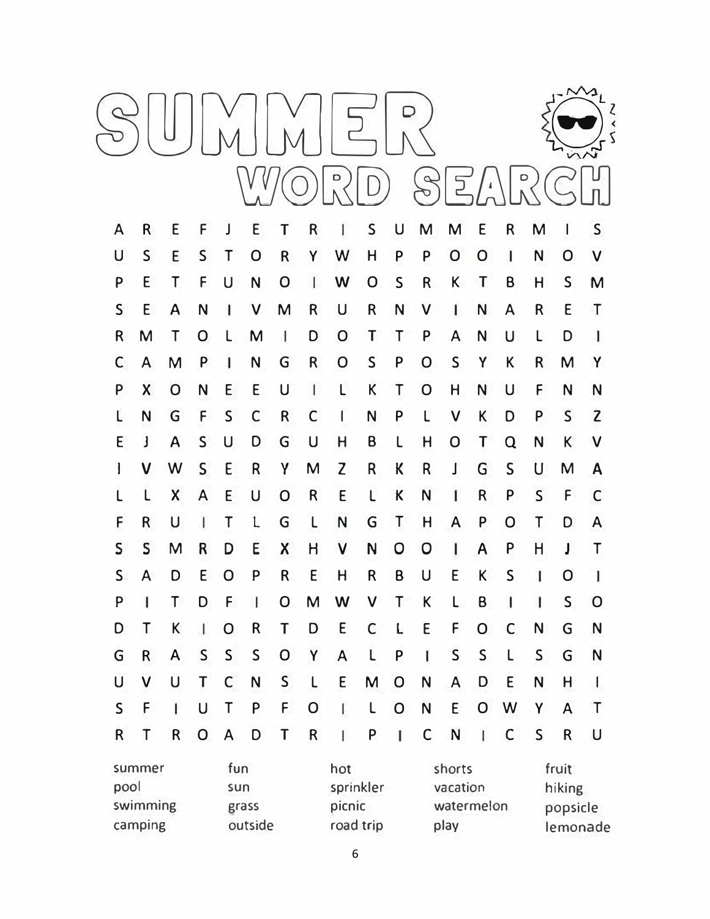|                                                                         |              |   |                |                           |                |                                         |              |   |   |              | $\sim$                                                                              |              |              |              | $\cup$       |   |              |
|-------------------------------------------------------------------------|--------------|---|----------------|---------------------------|----------------|-----------------------------------------|--------------|---|---|--------------|-------------------------------------------------------------------------------------|--------------|--------------|--------------|--------------|---|--------------|
| A                                                                       | R            | E | F              |                           | E              | T                                       | R            |   | S | U            | M                                                                                   | M            | E            | R            | M            |   | S            |
| U                                                                       | S            | E | S              |                           | O              | R                                       | Y            | W | Н | P            | P                                                                                   | O            | O            | ı            | N            | O | V            |
| P                                                                       | E            | Г | F              | U                         | N              | O                                       |              | W | O | S            | R                                                                                   | K            | Τ            | Β            | Н            | S | М            |
| S                                                                       | E            | Α | N              |                           | V              | M                                       | R            | U | R | N            | V                                                                                   | ı            | N            | A            | R            | E | $\mathsf T$  |
| R                                                                       | M            | T | Ő              |                           | M              | ı                                       | D            | O | T | $\mathbf{I}$ | P                                                                                   | A            | N            | U            |              | D | ı            |
| С                                                                       | A            | M | P              |                           | N              | G                                       | R            | O | S | P            | O                                                                                   | S            | Y            | Κ            | R            | M | Y            |
| P                                                                       | Χ            | O | N              | E                         | E              | U                                       | I            | L | К | Τ            | O                                                                                   | Н            | N            | U            | F            | N | N            |
| L                                                                       | N            | G | F              | S                         | С              | R                                       | C            | I | N | P            | L                                                                                   | V            | К            | D            | P            | S | $\mathsf{Z}$ |
| E                                                                       | J            | A | S              | U                         | D              | G                                       | U            | Η | Β |              | Н                                                                                   | 0            | Т            | Q            | N            | Κ | V            |
| ł                                                                       | V            | W | S              | E                         | R              | γ                                       | M            | Z | R | K            | R                                                                                   | J            | G            | S            | U            | M | Α            |
| L                                                                       |              | Χ | A              | E                         | U              | O                                       | R            | E | L | K            | N                                                                                   | ı            | R            | P            | S            | F | C            |
| F                                                                       | R            | U |                | Τ                         | L              | G                                       | L            | N | G | Τ            | H                                                                                   | A            | P            | O            | Τ            | D | A            |
| S                                                                       | S            | M | R              | D                         | E              | Χ                                       | Н            | V | N | O            | 0                                                                                   | ı            | A            | P            | Н            | J | Τ            |
| S                                                                       | A            | D | E              | O                         | P              | R                                       | E            | Η | R | Β            | U                                                                                   | E            | Κ            | S            | ı            | O |              |
| P                                                                       | $\mathsf{I}$ | Τ | D              | F                         | $\overline{1}$ | O                                       | M            | W | V | Τ            | K                                                                                   | L            | B            | $\mathsf{I}$ | I            | S | $\mathsf{O}$ |
| D                                                                       | Τ            | K | I              | $\mathsf O$               | $\mathsf R$    | T                                       | D            | E | C | L            | E                                                                                   | F            | $\mathsf O$  | $\mathsf C$  | N            | G | $\mathsf{N}$ |
| G                                                                       | $\mathsf R$  | A | $\mathsf{S}$   | S                         | $\mathsf{S}$   | $\mathsf O$                             | Y            | A | L | P            | $\mathsf{I}$                                                                        | $\mathsf{S}$ | $\mathsf{S}$ | $\mathsf L$  | $\mathsf{S}$ | G | N            |
| U                                                                       | V            | U | T              | $\mathsf C$               | $\mathsf{N}$   | $\mathsf{S}$                            | $\mathsf{L}$ | E | M | $\mathsf{O}$ | N                                                                                   | A            | D            | E            | N            | H | L            |
| $\mathsf{S}$                                                            | F            | 1 | U              | T                         | P              | F.                                      | $\mathsf O$  | L | L | $\mathbf 0$  | $\mathsf{N}$                                                                        | E            | $\mathsf O$  | W            | Υ            | A | $\mathsf{T}$ |
| $\mathsf R$                                                             | Τ            | R | $\overline{O}$ | $\boldsymbol{\mathsf{A}}$ | D              | T                                       | $\mathsf R$  | Ï | P | I            | $\mathsf C$                                                                         | N            | $\mathbf{I}$ | $\mathsf C$  | S            | R | U            |
| fun<br>summer<br>pool<br>sun<br>swimming<br>grass<br>camping<br>outside |              |   |                |                           |                | hot<br>sprinkler<br>picnic<br>road trip |              |   |   |              | fruit<br>shorts<br>vacation<br>hiking<br>watermelon<br>popsicle<br>play<br>lemonade |              |              |              |              |   |              |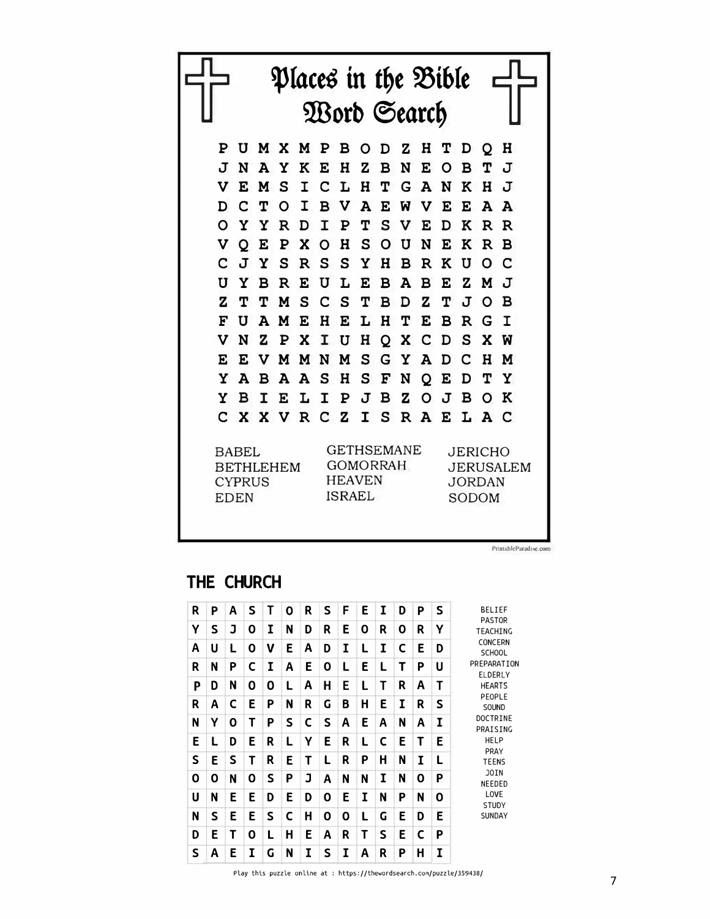

PrintableParadise.com

## **THE CHURCH**

| R | Ρ | Α | S |   | Ο | R | S | F | Ε | Ι | D | P | S | <b>BELIEF</b>                    |
|---|---|---|---|---|---|---|---|---|---|---|---|---|---|----------------------------------|
| Υ | S | J | 0 | τ | N | D | R | Ε | 0 | R | 0 | R | Υ | <b>PASTOR</b><br><b>TEACHING</b> |
| A | U | L | 0 | v | Е | A | D | I | L | I | C | Е | D | <b>CONCERN</b><br><b>SCHOOL</b>  |
| R | N | P | C | I | A | E | 0 | L | Ε | L | т | Ρ | U | PREPARATION<br>ELDERLY           |
| P | D | N | 0 | 0 | L | A | H | E | L | Т | R | A | Т | <b>HEARTS</b>                    |
| R | Α | C | Ε | Р | N | R | G | B | Н | E | I | R | S | PEOPLE<br>SOUND                  |
| N | Υ | 0 | т | Ρ | S | C | S | A | E | A | N | A | I | <b>DOCTRINE</b><br>PRAISING      |
| E | L | D | E | R | L | Υ | E | R | L | C | E | т | E | <b>HELP</b>                      |
| S | E | S | т | R | Ε | Т | L | R | P | Η | N | I | L | PRAY<br><b>TEENS</b>             |
| 0 | 0 | N | 0 | S | P | J | Α | N | N | I | N | 0 | P | <b>JOIN</b><br>NEEDED            |
| U | N | Е | Ε | D | Е | D | 0 | E | I | N | P | N | 0 | LOVE<br><b>STUDY</b>             |
| N | S | E | E | S | C | H | 0 | 0 | L | G | E | D | E | <b>SUNDAY</b>                    |
| D | Ε | Т | Ο | L | Н | E | Α | R | Т | S | E | C | P |                                  |
| S | Α | Ε | I | G | N | I | S | I | Α | R | Ρ | н | I |                                  |

Play this puzzle online at : https://thewordsearch.com/puzzle/359438/